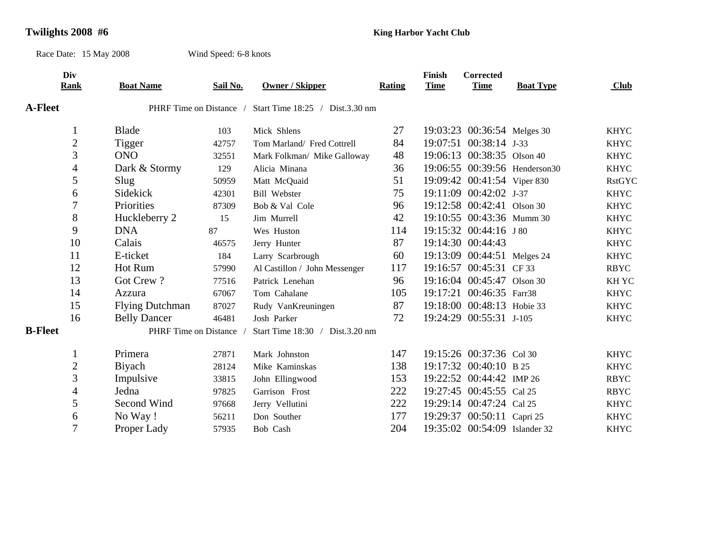## **Twilights 2008 #6 King Harbor Yacht Club King Harbor Yacht Club**

Race Date: 15 May 2008 Wind Speed: 6-8 knots

**Div Finish Corrected Rank Boat Name Sail No. Owner / Skipper Rating Time Time Boat Type Club A-Fleet**PHRF Time on Distance / Start Time 18:25 / Dist.3.30 nm 1Blade 103 Mick Shlens 27 19:03:23 00:36:54 Melges 30 KHYC 2Tigger 42757 Tom Marland/ Fred Cottrell 84 19:07:51 00:38:14 J-33 KHYC 3 ONO 32551 Mark Folkman/ Mike Galloway 48 19:06:13 00:38:35 Olson 40 KHYC 4Dark & Stormy 129 Alicia Minana 36 19:06:55 00:39:56 Henderson30 KHYC 5Slug 50959 Matt McQuaid 51 19:09:42 00:41:54 Viper 830 RstGYC 6 Sidekick 42301 Bill Webster 75 19:11:09 00:42:02 J-37 KHYC 7Priorities 87309 Bob & Val Cole 96 19:12:58 00:42:41 Olson 30 KHYC 8Huckleberry 2 15 Jim Murrell 42 19:10:55 00:43:36 Mumm 30 KHYC 9 DNA87 Wes Huston 114 19:15:32 00:44:16 J 80 KHYC 10Calais 46575 Jerry Hunter 87 19:14:30 00:44:43 KHYC 11 E-ticket 184 Larry Scarbrough 60 19:13:09 00:44:51 Melges 24 KHYC 12 Hot Rum 57990 Al Castillon / John Messenger 117 19:16:57 00:45:31 CF 33 RBYC 13Got Crew ? 77516 Patrick Lenehan 96 19:16:04 00:45:47 Olson 30 KH YC 14Azzura 67067 Tom Cahalane 105 19:17:21 00:46:35 Farr38 KHYC 15 Flying Dutchman 87027 Rudy VanKreuningen 87 19:18:00 00:48:13 Hobie 33 KHYC 16 Belly Dancer 46481 Josh Parker 72 19:24:29 00:55:31 J-105 KHYC **B-Fleet**PHRF Time on Distance / Start Time 18:30 / Dist.3.20 nm 1Primera 27871 Mark Johnston 147 19:15:26 00:37:36 Col 30 KHYC 2 Biyach 28124 Mike Kaminskas 138 19:17:32 00:40:10 B 25 KHYC 3Impulsive 33815 John Ellingwood 153 19:22:52 00:44:42 IMP 26 RBYC 4 Jedna 97825 Garrison Frost 222 19:27:45 00:45:55 Cal 25 RBYC 5Second Wind 97668 Jerry Vellutini 222 19:29:14 00:47:24 Cal 25 KHYC 6No Way ! 56211 Don Souther 177 19:29:37 00:50:11 Capri 25 KHYC 7Proper Lady 57935 Bob Cash 204 19:35:02 00:54:09 Islander 32 KHYC